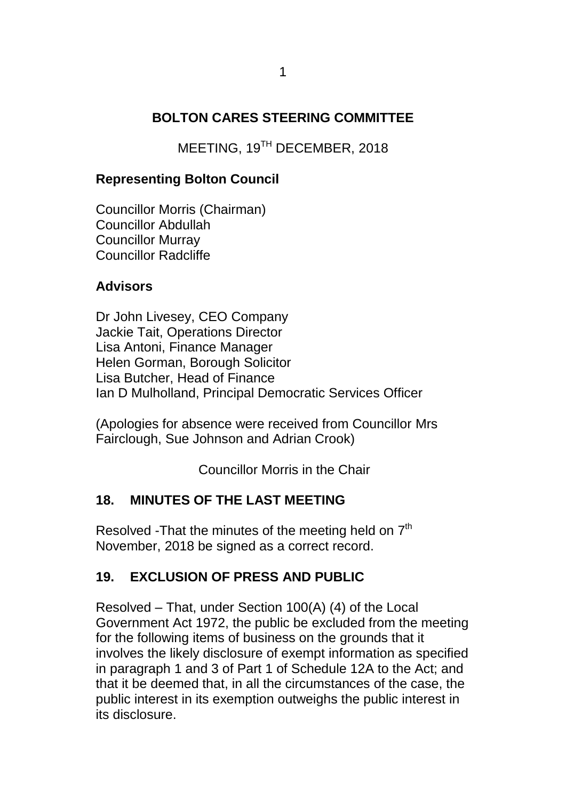### **BOLTON CARES STEERING COMMITTEE**

MEETING, 19TH DECEMBER, 2018

### **Representing Bolton Council**

Councillor Morris (Chairman) Councillor Abdullah Councillor Murray Councillor Radcliffe

#### **Advisors**

Dr John Livesey, CEO Company Jackie Tait, Operations Director Lisa Antoni, Finance Manager Helen Gorman, Borough Solicitor Lisa Butcher, Head of Finance Ian D Mulholland, Principal Democratic Services Officer

(Apologies for absence were received from Councillor Mrs Fairclough, Sue Johnson and Adrian Crook)

Councillor Morris in the Chair

#### **18. MINUTES OF THE LAST MEETING**

Resolved -That the minutes of the meeting held on  $7<sup>th</sup>$ November, 2018 be signed as a correct record.

### **19. EXCLUSION OF PRESS AND PUBLIC**

Resolved – That, under Section 100(A) (4) of the Local Government Act 1972, the public be excluded from the meeting for the following items of business on the grounds that it involves the likely disclosure of exempt information as specified in paragraph 1 and 3 of Part 1 of Schedule 12A to the Act; and that it be deemed that, in all the circumstances of the case, the public interest in its exemption outweighs the public interest in its disclosure.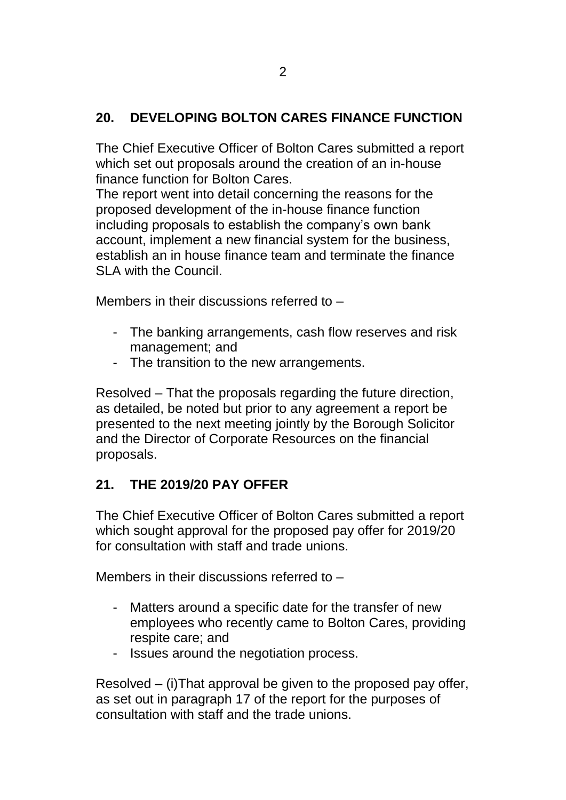## **20. DEVELOPING BOLTON CARES FINANCE FUNCTION**

The Chief Executive Officer of Bolton Cares submitted a report which set out proposals around the creation of an in-house finance function for Bolton Cares.

The report went into detail concerning the reasons for the proposed development of the in-house finance function including proposals to establish the company's own bank account, implement a new financial system for the business, establish an in house finance team and terminate the finance SLA with the Council

Members in their discussions referred to –

- The banking arrangements, cash flow reserves and risk management; and
- The transition to the new arrangements.

Resolved – That the proposals regarding the future direction, as detailed, be noted but prior to any agreement a report be presented to the next meeting jointly by the Borough Solicitor and the Director of Corporate Resources on the financial proposals.

## **21. THE 2019/20 PAY OFFER**

The Chief Executive Officer of Bolton Cares submitted a report which sought approval for the proposed pay offer for 2019/20 for consultation with staff and trade unions.

Members in their discussions referred to –

- Matters around a specific date for the transfer of new employees who recently came to Bolton Cares, providing respite care; and
- Issues around the negotiation process.

Resolved – (i)That approval be given to the proposed pay offer, as set out in paragraph 17 of the report for the purposes of consultation with staff and the trade unions.